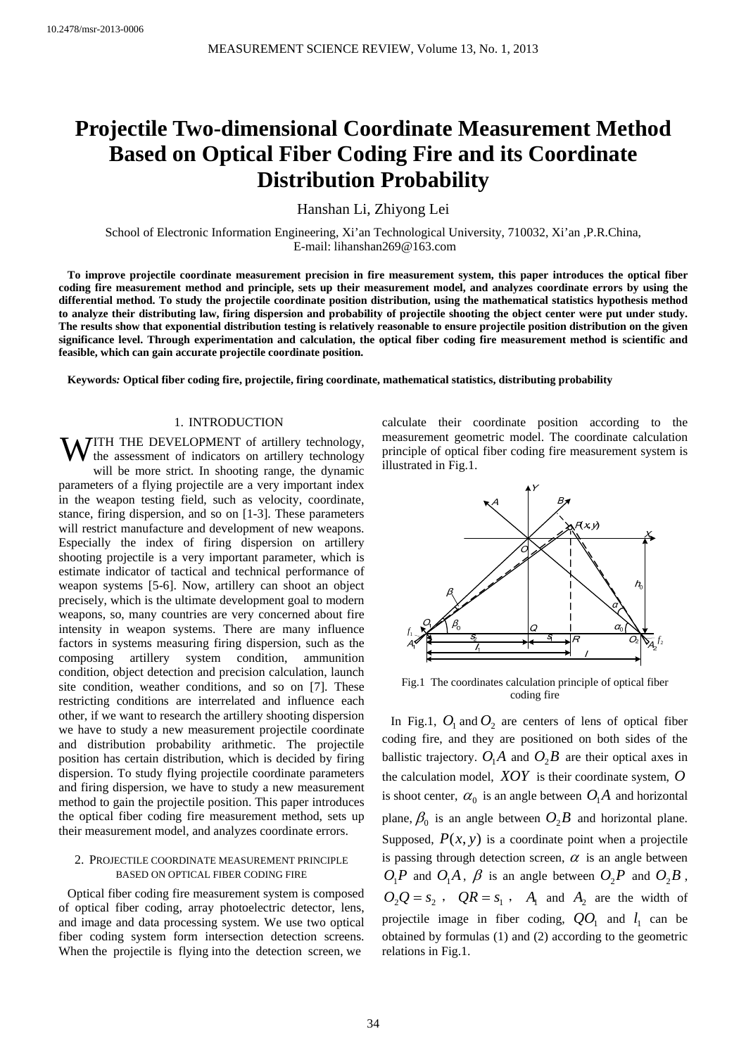# **Projectile Two-dimensional Coordinate Measurement Method Based on Optical Fiber Coding Fire and its Coordinate Distribution Probability**

Hanshan Li, Zhiyong Lei

School of Electronic Information Engineering, Xi'an Technological University, 710032, Xi'an ,P.R.China, E-mail: lihanshan269@163.com

**To improve projectile coordinate measurement precision in fire measurement system, this paper introduces the optical fiber coding fire measurement method and principle, sets up their measurement model, and analyzes coordinate errors by using the differential method. To study the projectile coordinate position distribution, using the mathematical statistics hypothesis method to analyze their distributing law, firing dispersion and probability of projectile shooting the object center were put under study. The results show that exponential distribution testing is relatively reasonable to ensure projectile position distribution on the given significance level. Through experimentation and calculation, the optical fiber coding fire measurement method is scientific and feasible, which can gain accurate projectile coordinate position.** 

**Keywords***:* **Optical fiber coding fire, projectile, firing coordinate, mathematical statistics, distributing probability**

# 1. INTRODUCTION

**WITH THE DEVELOPMENT** of artillery technology, the assessment of indicators on artillery technology the assessment of indicators on artillery technology will be more strict. In shooting range, the dynamic parameters of a flying projectile are a very important index in the weapon testing field, such as velocity, coordinate, stance, firing dispersion, and so on [1-3]. These parameters will restrict manufacture and development of new weapons. Especially the index of firing dispersion on artillery shooting projectile is a very important parameter, which is estimate indicator of tactical and technical performance of weapon systems [5-6]. Now, artillery can shoot an object precisely, which is the ultimate development goal to modern weapons, so, many countries are very concerned about fire intensity in weapon systems. There are many influence factors in systems measuring firing dispersion, such as the composing artillery system condition, ammunition condition, object detection and precision calculation, launch site condition, weather conditions, and so on [7]. These restricting conditions are interrelated and influence each other, if we want to research the artillery shooting dispersion we have to study a new measurement projectile coordinate and distribution probability arithmetic. The projectile position has certain distribution, which is decided by firing dispersion. To study flying projectile coordinate parameters and firing dispersion, we have to study a new measurement method to gain the projectile position. This paper introduces the optical fiber coding fire measurement method, sets up their measurement model, and analyzes coordinate errors.

# 2. PROJECTILE COORDINATE MEASUREMENT PRINCIPLE BASED ON OPTICAL FIBER CODING FIRE

Optical fiber coding fire measurement system is composed of optical fiber coding, array photoelectric detector, lens, and image and data processing system. We use two optical fiber coding system form intersection detection screens. When the projectile is flying into the detection screen, we

calculate their coordinate position according to the measurement geometric model. The coordinate calculation principle of optical fiber coding fire measurement system is illustrated in Fig.1.



Fig.1 The coordinates calculation principle of optical fiber coding fire

In Fig.1,  $O_1$  and  $O_2$  are centers of lens of optical fiber coding fire, and they are positioned on both sides of the ballistic trajectory.  $O_1A$  and  $O_2B$  are their optical axes in the calculation model, *XOY* is their coordinate system, *O* is shoot center,  $\alpha_0$  is an angle between  $O_1A$  and horizontal plane,  $\beta_0$  is an angle between  $O_2B$  and horizontal plane. Supposed,  $P(x, y)$  is a coordinate point when a projectile is passing through detection screen,  $\alpha$  is an angle between  $O_1P$  and  $O_1A$ ,  $\beta$  is an angle between  $O_2P$  and  $O_2B$ ,  $Q_2 Q = s_2$ ,  $QR = s_1$ ,  $A_1$  and  $A_2$  are the width of projectile image in fiber coding,  $QO_1$  and  $l_1$  can be obtained by formulas (1) and (2) according to the geometric relations in Fig.1.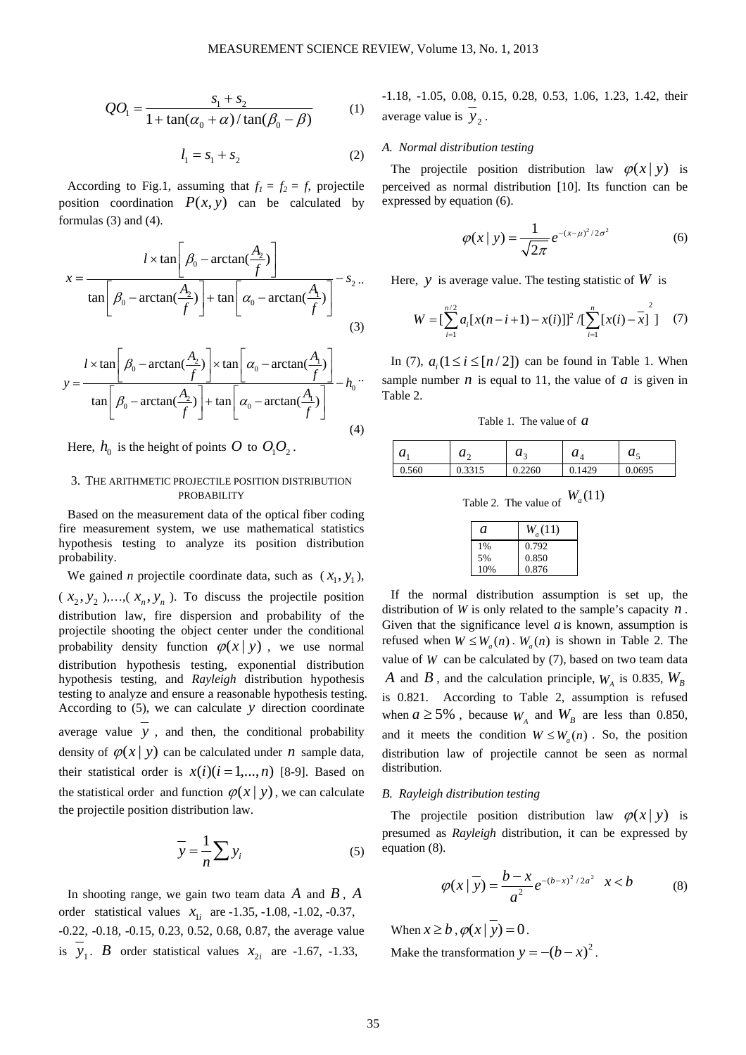$$
QO_1 = \frac{s_1 + s_2}{1 + \tan(\alpha_0 + \alpha) / \tan(\beta_0 - \beta)}
$$
 (1)

$$
l_1 = s_1 + s_2 \tag{2}
$$

According to Fig.1, assuming that  $f_1 = f_2 = f$ , projectile position coordination  $P(x, y)$  can be calculated by formulas (3) and (4).

$$
x = \frac{l \times \tan\left[\beta_0 - \arctan(\frac{A_2}{f})\right]}{\tan\left[\beta_0 - \arctan(\frac{A_2}{f})\right] + \tan\left[\alpha_0 - \arctan(\frac{A_1}{f})\right]} - s_2 \dots
$$
\n(3)

$$
y = \frac{l \times \tan\left[\beta_0 - \arctan\left(\frac{A_2}{f}\right)\right] \times \tan\left[\alpha_0 - \arctan\left(\frac{A_1}{f}\right)\right]}{\tan\left[\beta_0 - \arctan\left(\frac{A_2}{f}\right)\right] + \tan\left[\alpha_0 - \arctan\left(\frac{A_1}{f}\right)\right]} - h_0 \tag{4}
$$

Here,  $h_0$  is the height of points O to  $O_1O_2$ .

# 3. THE ARITHMETIC PROJECTILE POSITION DISTRIBUTION PROBABILITY

Based on the measurement data of the optical fiber coding fire measurement system, we use mathematical statistics hypothesis testing to analyze its position distribution probability.

We gained *n* projectile coordinate data, such as  $(x_1, y_1)$ ,  $(x_2, y_2),..., (x_n, y_n)$ . To discuss the projectile position distribution law, fire dispersion and probability of the projectile shooting the object center under the conditional probability density function  $\varphi(x | y)$ , we use normal distribution hypothesis testing, exponential distribution hypothesis testing, and *Rayleigh* distribution hypothesis testing to analyze and ensure a reasonable hypothesis testing. According to (5), we can calculate *y* direction coordinate average value *y* , and then, the conditional probability density of  $\varphi(x | y)$  can be calculated under *n* sample data, their statistical order is  $x(i)(i = 1,...,n)$  [8-9]. Based on the statistical order and function  $\varphi(x | y)$ , we can calculate the projectile position distribution law.

$$
\overline{y} = \frac{1}{n} \sum y_i
$$
 (5)

In shooting range, we gain two team data *A* and *B* , *A* order statistical values  $x_{1i}$  are -1.35, -1.08, -1.02, -0.37, -0.22, -0.18, -0.15, 0.23, 0.52, 0.68, 0.87, the average value is  $y_1$ . *B* order statistical values  $x_2$ , are -1.67, -1.33,

-1.18, -1.05, 0.08, 0.15, 0.28, 0.53, 1.06, 1.23, 1.42, their average value is  $y_2$ .

# *A. Normal distribution testing*

The projectile position distribution law  $\varphi(x|y)$  is perceived as normal distribution [10]. Its function can be expressed by equation (6).

$$
\varphi(x \mid y) = \frac{1}{\sqrt{2\pi}} e^{-(x-\mu)^2/2\sigma^2}
$$
 (6)

Here, *y* is average value. The testing statistic of  $W$  is

$$
W = \left[\sum_{i=1}^{n/2} a_i [x(n-i+1) - x(i)]\right]^2 / \left[\sum_{i=1}^{n} [x(i) - x]\right]
$$
 (7)

In (7),  $a_i$  ( $1 \le i \le [n/2]$ ) can be found in Table 1. When sample number *n* is equal to 11, the value of *a* is given in Table 2.

Table 1. The value of *a*

| $\boldsymbol{u}_1$ | u٨<br>- | $\mathbf{u}$ | u      | u -    |
|--------------------|---------|--------------|--------|--------|
| 0.560              | 0.3315  | 0.2260       | 0.1429 | 0.0695 |

Table 2. The value of  $W_a(11)$ 

| a   | $W_a(11)$ |
|-----|-----------|
| 1%  | 0.792     |
| 5%  | 0.850     |
| 10% | 0.876     |

If the normal distribution assumption is set up, the distribution of *W* is only related to the sample's capacity *n* . Given that the significance level  $a$  is known, assumption is refused when  $W \leq W_a(n)$ .  $W_a(n)$  is shown in Table 2. The value of  $W$  can be calculated by  $(7)$ , based on two team data *A* and *B*, and the calculation principle,  $W_{A}$  is 0.835,  $W_{B}$ is 0.821. According to Table 2, assumption is refused when  $a \ge 5\%$ , because  $W_A$  and  $W_B$  are less than 0.850, and it meets the condition  $W \leq W_n(n)$ . So, the position distribution law of projectile cannot be seen as normal distribution.

# *B. Rayleigh distribution testing*

The projectile position distribution law  $\varphi(x|y)$  is presumed as *Rayleigh* distribution, it can be expressed by equation (8).

$$
\varphi(x \mid \overline{y}) = \frac{b - x}{a^2} e^{-(b - x)^2 / 2a^2} \quad x < b \tag{8}
$$

When  $x \geq b$ ,  $\varphi(x | y) = 0$ .

Make the transformation  $y = -(b - x)^2$ .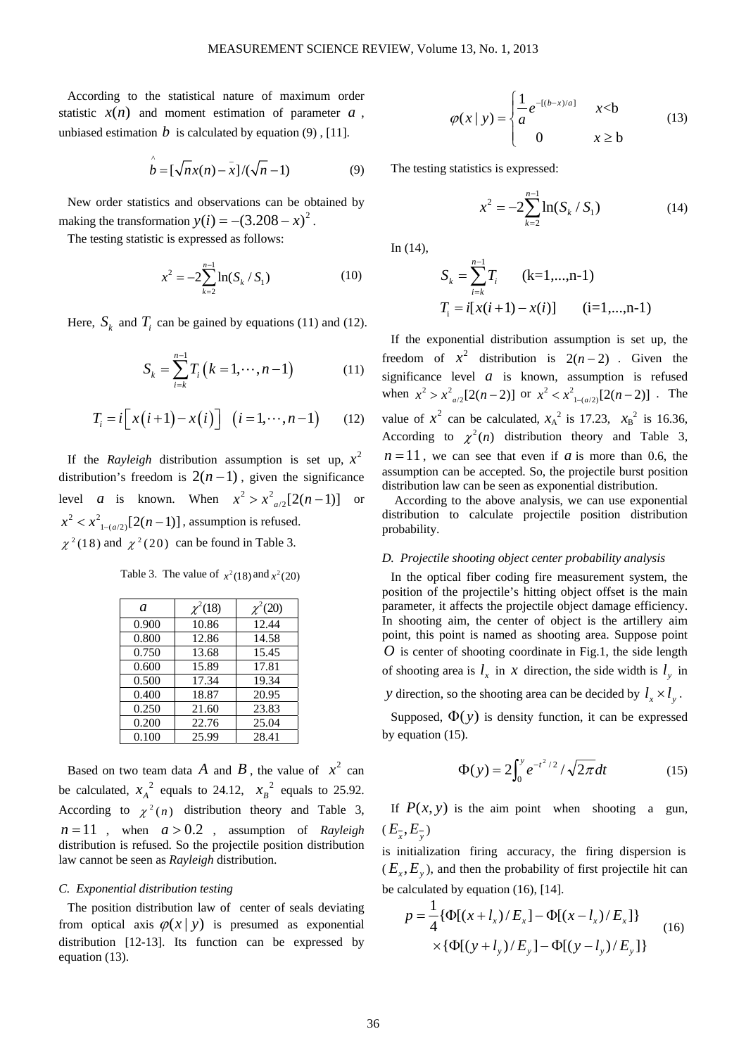According to the statistical nature of maximum order statistic  $x(n)$  and moment estimation of parameter  $a$ , unbiased estimation  $b$  is calculated by equation (9), [11].

$$
\hat{b} = [\sqrt{n}x(n) - \bar{x}]/(\sqrt{n} - 1)
$$
 (9)

New order statistics and observations can be obtained by making the transformation  $y(i) = -(3.208 - x)^2$ .

The testing statistic is expressed as follows:

$$
x^{2} = -2\sum_{k=2}^{n-1} \ln(S_{k} / S_{1})
$$
 (10)

Here,  $S_k$  and  $T_i$  can be gained by equations (11) and (12).

$$
S_k = \sum_{i=k}^{n-1} T_i (k = 1, \cdots, n-1)
$$
 (11)

$$
T_i = i\big[ x(i+1) - x(i) \big] \quad (i = 1, \cdots, n-1) \tag{12}
$$

If the *Rayleigh* distribution assumption is set up,  $x^2$ distribution's freedom is  $2(n-1)$ , given the significance level *a* is known. When  $x^2 > x^2_{a/2}[2(n-1)]$  or  $x^2 < x^2_{1-(a/2)}[2(n-1)]$ , assumption is refused.  $\chi^2$ (18) and  $\chi^2$ (20) can be found in Table 3.

Table 3. The value of  $x^2(18)$  and  $x^2(20)$ 

| a     | $\chi^2(18)$ | $\chi^2(20)$ |
|-------|--------------|--------------|
| 0.900 | 10.86        | 12.44        |
| 0.800 | 12.86        | 14.58        |
| 0.750 | 13.68        | 15.45        |
| 0.600 | 15.89        | 17.81        |
| 0.500 | 17.34        | 19.34        |
| 0.400 | 18.87        | 20.95        |
| 0.250 | 21.60        | 23.83        |
| 0.200 | 22.76        | 25.04        |
| 0.100 | 25.99        | 28.41        |

Based on two team data  $\vec{A}$  and  $\vec{B}$ , the value of  $x^2$  can be calculated,  $x_A^2$  equals to 24.12,  $x_B^2$  equals to 25.92. According to  $\chi^2(n)$  distribution theory and Table 3,  $n = 11$ , when  $a > 0.2$ , assumption of *Rayleigh* distribution is refused. So the projectile position distribution law cannot be seen as *Rayleigh* distribution.

#### *C. Exponential distribution testing*

The position distribution law of center of seals deviating from optical axis  $\varphi(x|y)$  is presumed as exponential distribution [12-13]. Its function can be expressed by equation (13).

$$
\varphi(x \mid y) = \begin{cases} \frac{1}{a} e^{-[(b-x)/a]} & x < b \\ 0 & x \ge b \end{cases} \tag{13}
$$

The testing statistics is expressed:

$$
x^{2} = -2\sum_{k=2}^{n-1} \ln(S_{k} / S_{1})
$$
 (14)

In (14),

$$
S_k = \sum_{i=k}^{n-1} T_i \qquad (k=1,...,n-1)
$$
  
\n
$$
T_i = i[x(i+1) - x(i)] \qquad (i=1,...,n-1)
$$

If the exponential distribution assumption is set up, the freedom of  $x^2$  distribution is  $2(n-2)$ . Given the significance level  $a$  is known, assumption is refused when  $x^2 > x^2_{a/2}[2(n-2)]$  or  $x^2 < x^2_{1-(a/2)}[2(n-2)]$ . The value of  $x^2$  can be calculated,  $x_A^2$  is 17.23,  $x_B^2$  is 16.36, According to  $\chi^2(n)$  distribution theory and Table 3,  $n=11$ , we can see that even if *a* is more than 0.6, the assumption can be accepted. So, the projectile burst position distribution law can be seen as exponential distribution.

According to the above analysis, we can use exponential distribution to calculate projectile position distribution probability.

#### *D. Projectile shooting object center probability analysis*

In the optical fiber coding fire measurement system, the position of the projectile's hitting object offset is the main parameter, it affects the projectile object damage efficiency. In shooting aim, the center of object is the artillery aim point, this point is named as shooting area. Suppose point *O* is center of shooting coordinate in Fig.1, the side length of shooting area is  $l_x$  in *x* direction, the side width is  $l_y$  in *y* direction, so the shooting area can be decided by  $l_x \times l_y$ .

Supposed,  $\Phi(y)$  is density function, it can be expressed by equation (15).

$$
\Phi(y) = 2 \int_0^y e^{-t^2/2} / \sqrt{2\pi} dt
$$
 (15)

If  $P(x, y)$  is the aim point when shooting a gun,  $(E_{\overline{x}}, E_{\overline{y}})$ 

is initialization firing accuracy, the firing dispersion is  $(E_x, E_y)$ , and then the probability of first projectile hit can be calculated by equation (16), [14].

$$
p = \frac{1}{4} \{ \Phi[(x + l_x)/E_x] - \Phi[(x - l_x)/E_x] \}
$$
  
× {  $\Phi[(y + l_y)/E_y] - \Phi[(y - l_y)/E_y] \}$  (16)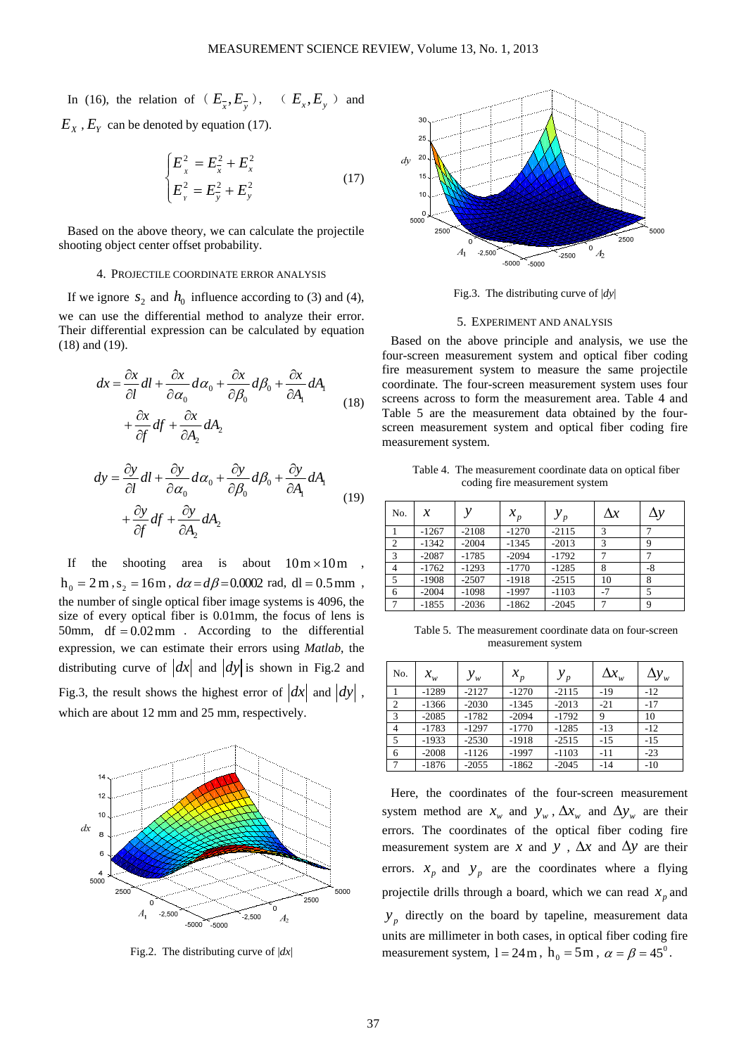In (16), the relation of  $(E_{\overline{x}}, E_{\overline{y}})$ ,  $(E_x, E_y)$  and  $E_X$ ,  $E_Y$  can be denoted by equation (17).

$$
\begin{cases}\nE_x^2 = E_x^2 + E_x^2 \\
E_y^2 = E_y^2 + E_y^2\n\end{cases}
$$
\n(17)

Based on the above theory, we can calculate the projectile shooting object center offset probability.

#### 4. PROJECTILE COORDINATE ERROR ANALYSIS

If we ignore  $s_2$  and  $h_0$  influence according to (3) and (4), we can use the differential method to analyze their error. Their differential expression can be calculated by equation (18) and (19).

$$
dx = \frac{\partial x}{\partial l} dl + \frac{\partial x}{\partial \alpha_0} d\alpha_0 + \frac{\partial x}{\partial \beta_0} d\beta_0 + \frac{\partial x}{\partial A_1} dA_1
$$
  
+ 
$$
\frac{\partial x}{\partial f} df + \frac{\partial x}{\partial A_2} dA_2
$$
 (18)

$$
dy = \frac{\partial y}{\partial l} dl + \frac{\partial y}{\partial \alpha_0} d\alpha_0 + \frac{\partial y}{\partial \beta_0} d\beta_0 + \frac{\partial y}{\partial A_1} dA_1
$$
  
+  $\frac{\partial y}{\partial f} df + \frac{\partial y}{\partial A_2} dA_2$  (19)

If the shooting area is about  $10 \text{ m} \times 10 \text{ m}$ ,  $h_0 = 2 \text{ m}, s_2 = 16 \text{ m}, d\alpha = d\beta = 0.0002 \text{ rad}, \text{ dl} = 0.5 \text{ mm}$ the number of single optical fiber image systems is 4096, the size of every optical fiber is 0.01mm, the focus of lens is 50mm,  $df = 0.02$  mm. According to the differential expression, we can estimate their errors using *Matlab*, the distributing curve of  $\left| dx \right|$  and  $\left| dy \right|$  is shown in Fig.2 and Fig.3, the result shows the highest error of  $\left|dx\right|$  and  $\left|dy\right|$ , which are about 12 mm and 25 mm, respectively.



Fig.2. The distributing curve of |*dx*|



Fig.3. The distributing curve of |*dy*|

#### 5. EXPERIMENT AND ANALYSIS

Based on the above principle and analysis, we use the four-screen measurement system and optical fiber coding fire measurement system to measure the same projectile coordinate. The four-screen measurement system uses four screens across to form the measurement area. Table 4 and Table 5 are the measurement data obtained by the fourscreen measurement system and optical fiber coding fire measurement system.

Table 4. The measurement coordinate data on optical fiber coding fire measurement system

| No.            | х       |         | $x_p$   | $y_p$   | $\Delta x$ | $\Delta y$ |
|----------------|---------|---------|---------|---------|------------|------------|
|                | $-1267$ | $-2108$ | $-1270$ | $-2115$ | 3          |            |
| $\overline{c}$ | $-1342$ | $-2004$ | $-1345$ | $-2013$ | 3          | 9          |
| 3              | $-2087$ | $-1785$ | $-2094$ | $-1792$ |            |            |
| $\overline{4}$ | $-1762$ | $-1293$ | $-1770$ | $-1285$ | 8          | -8         |
| 5              | $-1908$ | $-2507$ | $-1918$ | $-2515$ | 10         | 8          |
| 6              | $-2004$ | $-1098$ | $-1997$ | $-1103$ | $-7$       | 5          |
|                | $-1855$ | $-2036$ | $-1862$ | $-2045$ |            | 9          |

Table 5. The measurement coordinate data on four-screen measurement system

| No.             | $x_{\scriptscriptstyle{w}}^{}$ | $y_w$   | $x_p$   | $y_p$   | $\Delta\!x_{_{\!\scriptscriptstyle W}}$ | $\Delta y_w$ |
|-----------------|--------------------------------|---------|---------|---------|-----------------------------------------|--------------|
|                 | $-1289$                        | $-2127$ | $-1270$ | $-2115$ | $-19$                                   | $-12$        |
| 2               | $-1366$                        | $-2030$ | $-1345$ | $-2013$ | $-21$                                   | $-17$        |
| 3               | $-2085$                        | $-1782$ | $-2094$ | $-1792$ | 9                                       | 10           |
| $\overline{4}$  | $-1783$                        | $-1297$ | $-1770$ | $-1285$ | $-13$                                   | $-12$        |
| 5               | $-1933$                        | $-2530$ | $-1918$ | $-2515$ | $-15$                                   | $-15$        |
| 6               | $-2008$                        | $-1126$ | $-1997$ | $-1103$ | $-11$                                   | $-23$        |
| $7\phantom{.0}$ | $-1876$                        | $-2055$ | $-1862$ | $-2045$ | $-14$                                   | $-10$        |

Here, the coordinates of the four-screen measurement system method are  $x_w$  and  $y_w$ ,  $\Delta x_w$  and  $\Delta y_w$  are their errors. The coordinates of the optical fiber coding fire measurement system are *x* and *y*,  $\Delta x$  and  $\Delta y$  are their errors.  $x_p$  and  $y_p$  are the coordinates where a flying projectile drills through a board, which we can read  $x_p$  and  $y<sub>n</sub>$  directly on the board by tapeline, measurement data units are millimeter in both cases, in optical fiber coding fire measurement system,  $l = 24$  m,  $h_0 = 5$  m,  $\alpha = \beta = 45^\circ$ .